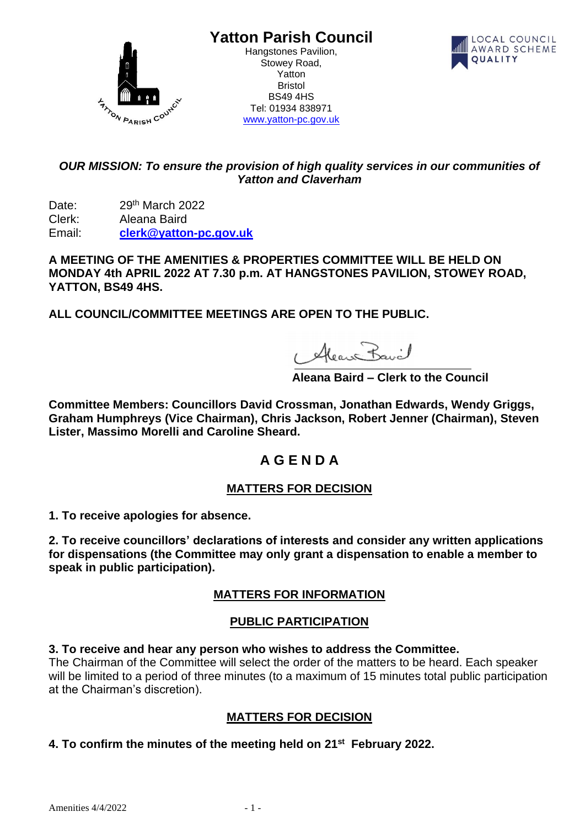

**Yatton Parish Council**

Hangstones Pavilion, Stowey Road, Yatton Bristol BS49 4HS Tel: 01934 838971 [www.yatton-pc.gov.uk](http://www.yatton-pc.gov.uk/)



## *OUR MISSION: To ensure the provision of high quality services in our communities of Yatton and Claverham*

Date: 29<sup>th</sup> March 2022 Clerk: Aleana Baird Email: **[clerk@yatton-pc.gov.uk](mailto:clerk@yatton-pc.gov.uk)**

**A MEETING OF THE AMENITIES & PROPERTIES COMMITTEE WILL BE HELD ON MONDAY 4th APRIL 2022 AT 7.30 p.m. AT HANGSTONES PAVILION, STOWEY ROAD, YATTON, BS49 4HS.** 

**ALL COUNCIL/COMMITTEE MEETINGS ARE OPEN TO THE PUBLIC.**

1 Alean Bavil

 **Aleana Baird – Clerk to the Council**

**Committee Members: Councillors David Crossman, Jonathan Edwards, Wendy Griggs, Graham Humphreys (Vice Chairman), Chris Jackson, Robert Jenner (Chairman), Steven Lister, Massimo Morelli and Caroline Sheard.**

# **A G E N D A**

## **MATTERS FOR DECISION**

**1. To receive apologies for absence.**

**2. To receive councillors' declarations of interests and consider any written applications for dispensations (the Committee may only grant a dispensation to enable a member to speak in public participation).**

## **MATTERS FOR INFORMATION**

### **PUBLIC PARTICIPATION**

**3. To receive and hear any person who wishes to address the Committee.**

The Chairman of the Committee will select the order of the matters to be heard. Each speaker will be limited to a period of three minutes (to a maximum of 15 minutes total public participation at the Chairman's discretion).

## **MATTERS FOR DECISION**

### **4. To confirm the minutes of the meeting held on 21st February 2022.**